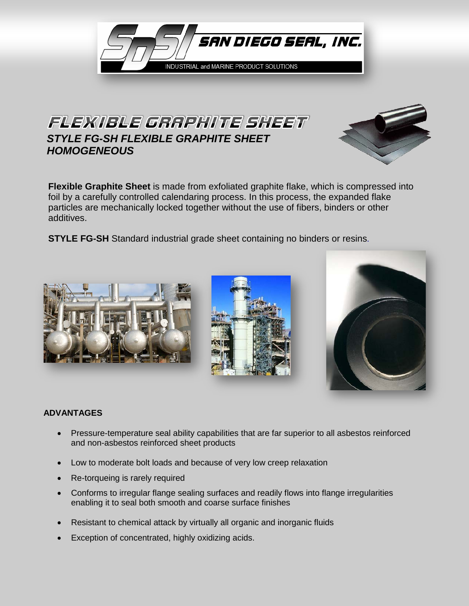

## FLEXIBLE GRAPHITE SHEFT *STYLE FG-SH FLEXIBLE GRAPHITE SHEET HOMOGENEOUS*



**Flexible Graphite Sheet** is made from exfoliated graphite flake, which is compressed into foil by a carefully controlled calendaring process. In this process, the expanded flake particles are mechanically locked together without the use of fibers, binders or other additives.

**STYLE FG-SH** Standard industrial grade sheet containing no binders or resins.







## **ADVANTAGES**

- Pressure-temperature seal ability capabilities that are far superior to all asbestos reinforced and non-asbestos reinforced sheet products
- Low to moderate bolt loads and because of very low creep relaxation
- Re-torqueing is rarely required
- Conforms to irregular flange sealing surfaces and readily flows into flange irregularities enabling it to seal both smooth and coarse surface finishes
- Resistant to chemical attack by virtually all organic and inorganic fluids
- Exception of concentrated, highly oxidizing acids.